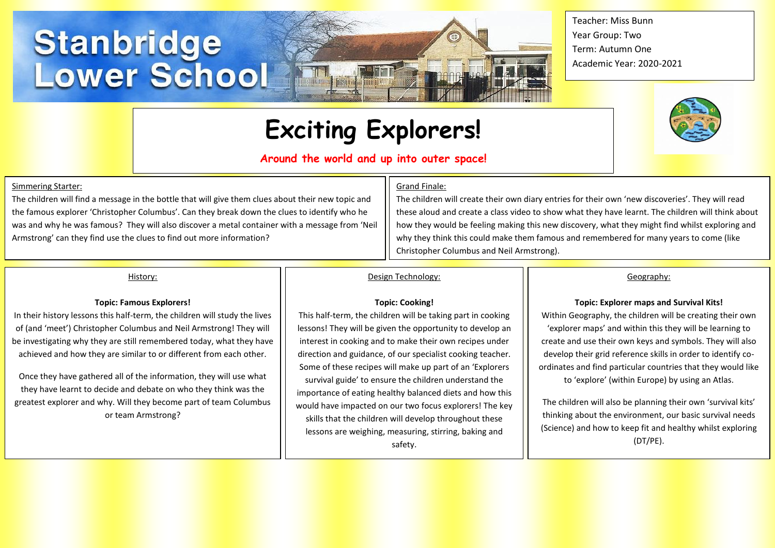# **Stanbridge<br>Lower School**

**Exciting Explorers!**

**Frequency fund its** 

## **Around the world and up into outer space!**

#### Simmering Starter:

The children will find a message in the bottle that will give them clues about their new topic and the famous explorer 'Christopher Columbus'. Can they break down the clues to identify who he was and why he was famous? They will also discover a metal container with a message from 'Neil Armstrong' can they find use the clues to find out more information?

#### Grand Finale:

The children will create their own diary entries for their own 'new discoveries'. They will read these aloud and create a class video to show what they have learnt. The children will think about how they would be feeling making this new discovery, what they might find whilst exploring and why they think this could make them famous and remembered for many years to come (like Christopher Columbus and Neil Armstrong).

#### History:

#### **Topic: Famous Explorers!**

In their history lessons this half-term, the children will study the lives of (and 'meet') Christopher Columbus and Neil Armstrong! They will be investigating why they are still remembered today, what they have achieved and how they are similar to or different from each other.

Once they have gathered all of the information, they will use what they have learnt to decide and debate on who they think was the greatest explorer and why. Will they become part of team Columbus or team Armstrong?

# Design Technology:

#### **Topic: Cooking!**

This half-term, the children will be taking part in cooking lessons! They will be given the opportunity to develop an interest in cooking and to make their own recipes under direction and guidance, of our specialist cooking teacher. Some of these recipes will make up part of an 'Explorers survival guide' to ensure the children understand the importance of eating healthy balanced diets and how this would have impacted on our two focus explorers! The key skills that the children will develop throughout these lessons are weighing, measuring, stirring, baking and safety.

Geography:

#### **Topic: Explorer maps and Survival Kits!**

Within Geography, the children will be creating their own 'explorer maps' and within this they will be learning to create and use their own keys and symbols. They will also develop their grid reference skills in order to identify coordinates and find particular countries that they would like to 'explore' (within Europe) by using an Atlas.

The children will also be planning their own 'survival kits' thinking about the environment, our basic survival needs (Science) and how to keep fit and healthy whilst exploring (DT/PE).